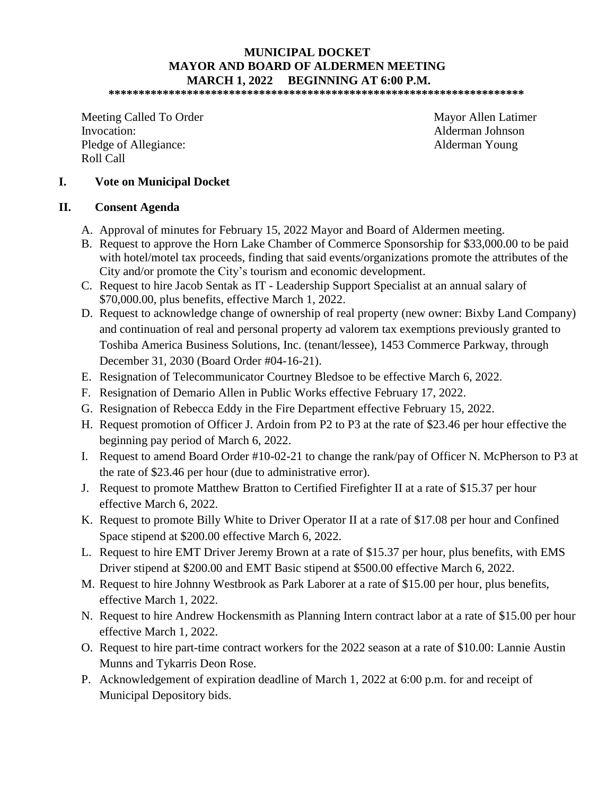# **MUNICIPAL DOCKET MAYOR AND BOARD OF ALDERMEN MEETING MARCH 1, 2022 BEGINNING AT 6:00 P.M.**

**\*\*\*\*\*\*\*\*\*\*\*\*\*\*\*\*\*\*\*\*\*\*\*\*\*\*\*\*\*\*\*\*\*\*\*\*\*\*\*\*\*\*\*\*\*\*\*\*\*\*\*\*\*\*\*\*\*\*\*\*\*\*\*\*\*\*\*\*\*** 

Meeting Called To Order Mayor Allen Latimer Invocation: Alderman Johnson Pledge of Allegiance: Alderman Young Roll Call

#### **I. Vote on Municipal Docket**

#### **II. Consent Agenda**

- A. Approval of minutes for February 15, 2022 Mayor and Board of Aldermen meeting.
- B. Request to approve the Horn Lake Chamber of Commerce Sponsorship for \$33,000.00 to be paid with hotel/motel tax proceeds, finding that said events/organizations promote the attributes of the City and/or promote the City's tourism and economic development.
- C. Request to hire Jacob Sentak as IT Leadership Support Specialist at an annual salary of \$70,000.00, plus benefits, effective March 1, 2022.
- D. Request to acknowledge change of ownership of real property (new owner: Bixby Land Company) and continuation of real and personal property ad valorem tax exemptions previously granted to Toshiba America Business Solutions, Inc. (tenant/lessee), 1453 Commerce Parkway, through December 31, 2030 (Board Order #04-16-21).
- E. Resignation of Telecommunicator Courtney Bledsoe to be effective March 6, 2022.
- F. Resignation of Demario Allen in Public Works effective February 17, 2022.
- G. Resignation of Rebecca Eddy in the Fire Department effective February 15, 2022.
- H. Request promotion of Officer J. Ardoin from P2 to P3 at the rate of \$23.46 per hour effective the beginning pay period of March 6, 2022.
- I. Request to amend Board Order #10-02-21 to change the rank/pay of Officer N. McPherson to P3 at the rate of \$23.46 per hour (due to administrative error).
- J. Request to promote Matthew Bratton to Certified Firefighter II at a rate of \$15.37 per hour effective March 6, 2022.
- K. Request to promote Billy White to Driver Operator II at a rate of \$17.08 per hour and Confined Space stipend at \$200.00 effective March 6, 2022.
- L. Request to hire EMT Driver Jeremy Brown at a rate of \$15.37 per hour, plus benefits, with EMS Driver stipend at \$200.00 and EMT Basic stipend at \$500.00 effective March 6, 2022.
- M. Request to hire Johnny Westbrook as Park Laborer at a rate of \$15.00 per hour, plus benefits, effective March 1, 2022.
- N. Request to hire Andrew Hockensmith as Planning Intern contract labor at a rate of \$15.00 per hour effective March 1, 2022.
- O. Request to hire part-time contract workers for the 2022 season at a rate of \$10.00: Lannie Austin Munns and Tykarris Deon Rose.
- P. Acknowledgement of expiration deadline of March 1, 2022 at 6:00 p.m. for and receipt of Municipal Depository bids.